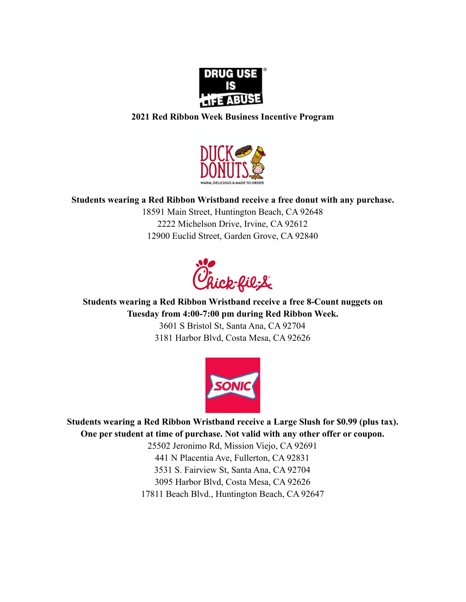

## **2021 Red Ribbon Week Business Incentive Program**



## **Students wearing a Red Ribbon Wristband receive a free donut with any purchase.**

18591 Main Street, Huntington Beach, CA 92648 2222 Michelson Drive, Irvine, CA 92612 12900 Euclid Street, Garden Grove, CA 92840



**Students wearing a Red Ribbon Wristband receive a free 8-Count nuggets on Tuesday from 4:00-7:00 pm during Red Ribbon Week.**

> 3601 S Bristol St, Santa Ana, CA 92704 3181 Harbor Blvd, Costa Mesa, CA 92626



**Students wearing a Red Ribbon Wristband receive a Large Slush for \$0.99 (plus tax). One per student at time of purchase. Not valid with any other offer or coupon.**

> 25502 Jeronimo Rd, Mission Viejo, CA 92691 441 N Placentia Ave, Fullerton, CA 92831 3531 S. Fairview St, Santa Ana, CA 92704 3095 Harbor Blvd, Costa Mesa, CA 92626 17811 Beach Blvd., Huntington Beach, CA 92647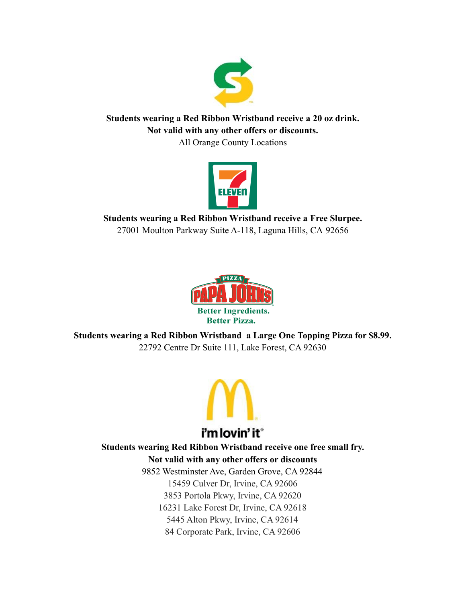

**Students wearing a Red Ribbon Wristband receive a 20 oz drink. Not valid with any other offers or discounts.**

All Orange County Locations



**Students wearing a Red Ribbon Wristband receive a Free Slurpee.** 27001 Moulton Parkway Suite A-118, Laguna Hills, CA 92656



**Students wearing a Red Ribbon Wristband a Large One Topping Pizza for \$8.99.** 22792 Centre Dr Suite 111, Lake Forest, CA 92630



**Students wearing Red Ribbon Wristband receive one free small fry. Not valid with any other offers or discounts** 9852 Westminster Ave, Garden Grove, CA 92844 15459 Culver Dr, Irvine, CA 92606

3853 Portola Pkwy, Irvine, CA 92620

16231 Lake Forest Dr, Irvine, CA 92618

5445 Alton Pkwy, Irvine, CA 92614 84 Corporate Park, Irvine, CA 92606